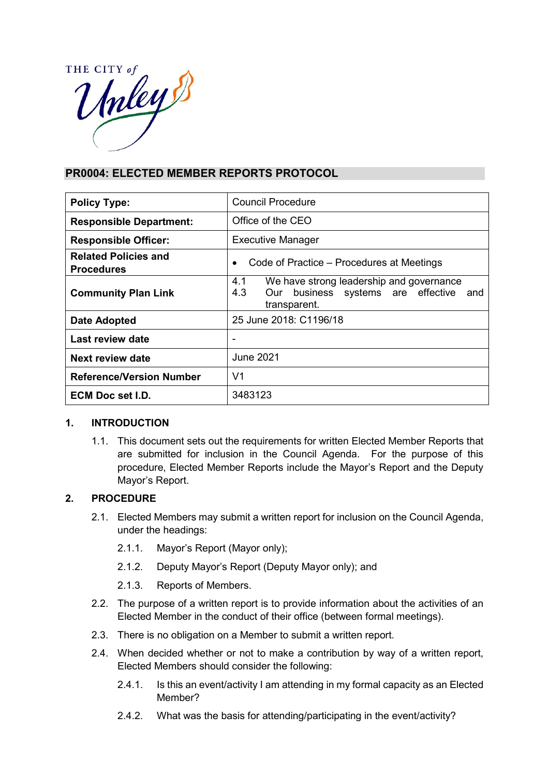

## **PR0004: ELECTED MEMBER REPORTS PROTOCOL**

| <b>Policy Type:</b>                              | Council Procedure                                                                                                      |
|--------------------------------------------------|------------------------------------------------------------------------------------------------------------------------|
| <b>Responsible Department:</b>                   | Office of the CEO                                                                                                      |
| <b>Responsible Officer:</b>                      | <b>Executive Manager</b>                                                                                               |
| <b>Related Policies and</b><br><b>Procedures</b> | Code of Practice – Procedures at Meetings<br>$\bullet$                                                                 |
| <b>Community Plan Link</b>                       | We have strong leadership and governance<br>4.1<br>4.3<br>business systems are effective<br>Our<br>and<br>transparent. |
| <b>Date Adopted</b>                              | 25 June 2018: C1196/18                                                                                                 |
| Last review date                                 | -                                                                                                                      |
| Next review date                                 | June 2021                                                                                                              |
| <b>Reference/Version Number</b>                  | V1                                                                                                                     |
| <b>ECM Doc set I.D.</b>                          | 3483123                                                                                                                |

## **1. INTRODUCTION**

1.1. This document sets out the requirements for written Elected Member Reports that are submitted for inclusion in the Council Agenda. For the purpose of this procedure, Elected Member Reports include the Mayor's Report and the Deputy Mayor's Report.

## **2. PROCEDURE**

- 2.1. Elected Members may submit a written report for inclusion on the Council Agenda, under the headings:
	- 2.1.1. Mayor's Report (Mayor only);
	- 2.1.2. Deputy Mayor's Report (Deputy Mayor only); and
	- 2.1.3. Reports of Members.
- 2.2. The purpose of a written report is to provide information about the activities of an Elected Member in the conduct of their office (between formal meetings).
- 2.3. There is no obligation on a Member to submit a written report.
- 2.4. When decided whether or not to make a contribution by way of a written report, Elected Members should consider the following:
	- 2.4.1. Is this an event/activity I am attending in my formal capacity as an Elected Member?
	- 2.4.2. What was the basis for attending/participating in the event/activity?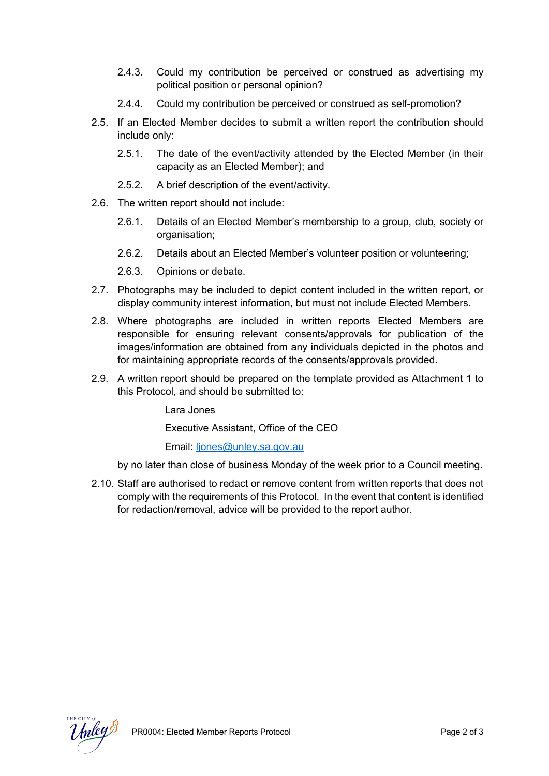- 2.4.3. Could my contribution be perceived or construed as advertising my political position or personal opinion?
- 2.4.4. Could my contribution be perceived or construed as self-promotion?
- 2.5. If an Elected Member decides to submit a written report the contribution should include only:
	- 2.5.1. The date of the event/activity attended by the Elected Member (in their capacity as an Elected Member); and
	- 2.5.2. A brief description of the event/activity.
- 2.6. The written report should not include:
	- 2.6.1. Details of an Elected Member's membership to a group, club, society or organisation;
	- 2.6.2. Details about an Elected Member's volunteer position or volunteering;
	- 2.6.3. Opinions or debate.
- 2.7. Photographs may be included to depict content included in the written report, or display community interest information, but must not include Elected Members.
- 2.8. Where photographs are included in written reports Elected Members are responsible for ensuring relevant consents/approvals for publication of the images/information are obtained from any individuals depicted in the photos and for maintaining appropriate records of the consents/approvals provided.
- 2.9. A written report should be prepared on the template provided as Attachment 1 to this Protocol, and should be submitted to:

Lara Jones

Executive Assistant, Office of the CEO

Email: [ljones@unley.sa.gov.au](mailto:ljones@unley.sa.gov.au)

by no later than close of business Monday of the week prior to a Council meeting.

2.10. Staff are authorised to redact or remove content from written reports that does not comply with the requirements of this Protocol. In the event that content is identified for redaction/removal, advice will be provided to the report author.